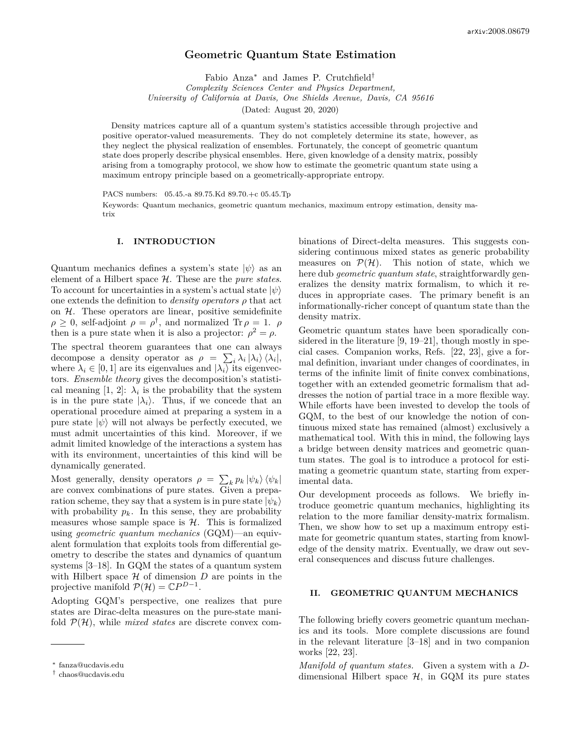# **Geometric Quantum State Estimation**

Fabio Anza<sup>∗</sup> and James P. Crutchfield† *Complexity Sciences Center and Physics Department, University of California at Davis, One Shields Avenue, Davis, CA 95616*

(Dated: August 20, 2020)

Density matrices capture all of a quantum system's statistics accessible through projective and positive operator-valued measurements. They do not completely determine its state, however, as they neglect the physical realization of ensembles. Fortunately, the concept of geometric quantum state does properly describe physical ensembles. Here, given knowledge of a density matrix, possibly arising from a tomography protocol, we show how to estimate the geometric quantum state using a maximum entropy principle based on a geometrically-appropriate entropy.

PACS numbers: 05.45.-a 89.75.Kd 89.70.+c 05.45.Tp

Keywords: Quantum mechanics, geometric quantum mechanics, maximum entropy estimation, density matrix

# **I. INTRODUCTION**

Quantum mechanics defines a system's state  $|\psi\rangle$  as an element of a Hilbert space H. These are the *pure states*. To account for uncertainties in a system's actual state  $|\psi\rangle$ one extends the definition to *density operators ρ* that act on  $H$ . These operators are linear, positive semidefinite  $\rho \geq 0$ , self-adjoint  $\rho = \rho^{\dagger}$ , and normalized Tr  $\rho = 1$ .  $\rho$ then is a pure state when it is also a projector:  $\rho^2 = \rho$ .

The spectral theorem guarantees that one can always decompose a density operator as  $\rho = \sum_i \lambda_i |\lambda_i\rangle \langle \lambda_i|$ , where  $\lambda_i \in [0, 1]$  are its eigenvalues and  $|\lambda_i\rangle$  its eigenvectors. *Ensemble theory* gives the decomposition's statistical meaning  $[1, 2]$ :  $\lambda_i$  is the probability that the system is in the pure state  $|\lambda_i\rangle$ . Thus, if we concede that an operational procedure aimed at preparing a system in a pure state  $|\psi\rangle$  will not always be perfectly executed, we must admit uncertainties of this kind. Moreover, if we admit limited knowledge of the interactions a system has with its environment, uncertainties of this kind will be dynamically generated.

Most generally, density operators  $\rho = \sum_{k} p_k |\psi_k\rangle \langle \psi_k|$ are convex combinations of pure states. Given a preparation scheme, they say that a system is in pure state  $|\psi_k\rangle$ with probability  $p_k$ . In this sense, they are probability measures whose sample space is  $H$ . This is formalized using *geometric quantum mechanics* (GQM)—an equivalent formulation that exploits tools from differential geometry to describe the states and dynamics of quantum systems [3–18]. In GQM the states of a quantum system with Hilbert space  $H$  of dimension  $D$  are points in the projective manifold  $\mathcal{P}(\mathcal{H}) = \mathbb{C}P^{D-1}$ .

Adopting GQM's perspective, one realizes that pure states are Dirac-delta measures on the pure-state manifold  $\mathcal{P}(\mathcal{H})$ , while *mixed states* are discrete convex combinations of Direct-delta measures. This suggests considering continuous mixed states as generic probability measures on  $\mathcal{P}(\mathcal{H})$ . This notion of state, which we here dub *geometric quantum state*, straightforwardly generalizes the density matrix formalism, to which it reduces in appropriate cases. The primary benefit is an informationally-richer concept of quantum state than the density matrix.

Geometric quantum states have been sporadically considered in the literature [9, 19–21], though mostly in special cases. Companion works, Refs. [22, 23], give a formal definition, invariant under changes of coordinates, in terms of the infinite limit of finite convex combinations, together with an extended geometric formalism that addresses the notion of partial trace in a more flexible way. While efforts have been invested to develop the tools of GQM, to the best of our knowledge the notion of continuous mixed state has remained (almost) exclusively a mathematical tool. With this in mind, the following lays a bridge between density matrices and geometric quantum states. The goal is to introduce a protocol for estimating a geometric quantum state, starting from experimental data.

Our development proceeds as follows. We briefly introduce geometric quantum mechanics, highlighting its relation to the more familiar density-matrix formalism. Then, we show how to set up a maximum entropy estimate for geometric quantum states, starting from knowledge of the density matrix. Eventually, we draw out several consequences and discuss future challenges.

#### **II. GEOMETRIC QUANTUM MECHANICS**

The following briefly covers geometric quantum mechanics and its tools. More complete discussions are found in the relevant literature [3–18] and in two companion works [22, 23].

*Manifold of quantum states.* Given a system with a *D*dimensional Hilbert space  $H$ , in GQM its pure states

<sup>∗</sup> fanza@ucdavis.edu

<sup>†</sup> chaos@ucdavis.edu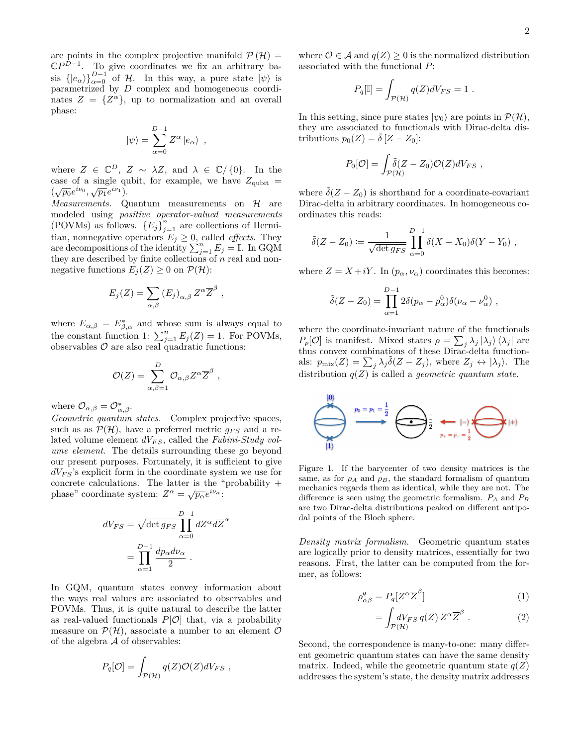are points in the complex projective manifold  $\mathcal{P}(\mathcal{H}) =$  $\mathbb{C}P^{D-1}$ . To give coordinates we fix an arbitrary basis  $\{|e_{\alpha}\rangle\}_{\alpha=0}^{D-1}$  of H. In this way, a pure state  $|\psi\rangle$  is parametrized by *D* complex and homogeneous coordinates  $Z = \{Z^{\alpha}\}\text{, up to normalization and an overall}$ phase:

$$
|\psi\rangle = \sum_{\alpha=0}^{D-1} Z^{\alpha} |e_{\alpha}\rangle ,
$$

where  $Z \in \mathbb{C}^D$ ,  $Z \sim \lambda Z$ , and  $\lambda \in \mathbb{C}/\{0\}$ . In the case of a single qubit, for example, we have  $Z_{\text{qubit}} =$  $(\sqrt{p_0}e^{i\nu_0}, \sqrt{p_1}e^{i\nu_1}).$ 

 $Measurements.$  Quantum measurements on  $H$  are modeled using *positive operator-valued measurements* (POVMs) as follows.  ${E_j}_{j=1}^n$  are collections of Hermitian, nonnegative operators  $E_j \geq 0$ , called *effects*. They are decompositions of the identity  $\sum_{j=1}^{n} E_j = \mathbb{I}$ . In GQM they are described by finite collections of *n* real and nonnegative functions  $E_i(Z) \geq 0$  on  $\mathcal{P}(\mathcal{H})$ :

$$
E_j(Z) = \sum_{\alpha,\beta} (E_j)_{\alpha,\beta} Z^{\alpha} \overline{Z}^{\beta} ,
$$

where  $E_{\alpha,\beta} = E^*_{\beta,\alpha}$  and whose sum is always equal to the constant function 1:  $\sum_{j=1}^{n} E_j(Z) = 1$ . For POVMs, observables  $\mathcal O$  are also real quadratic functions:

$$
\mathcal{O}(Z) = \sum_{\alpha,\beta=1}^D \mathcal{O}_{\alpha,\beta} Z^{\alpha} \overline{Z}^{\beta}
$$

*,*

where  $\mathcal{O}_{\alpha,\beta} = \mathcal{O}_{\alpha,\beta}^*$ .

*Geometric quantum states.* Complex projective spaces, such as as  $\mathcal{P}(\mathcal{H})$ , have a preferred metric  $g_{FS}$  and a related volume element  $dV_{FS}$ , called the *Fubini-Study volume element*. The details surrounding these go beyond our present purposes. Fortunately, it is sufficient to give  $dV_{FS}$ 's explicit form in the coordinate system we use for concrete calculations. The latter is the "probability + phase" coordinate system:  $Z^{\alpha} = \sqrt{p_{\alpha}}e^{i\nu_{\alpha}}$ :

$$
dV_{FS} = \sqrt{\det g_{FS}} \prod_{\alpha=0}^{D-1} dZ^{\alpha} d\overline{Z}^{\alpha}
$$

$$
= \prod_{\alpha=1}^{D-1} \frac{dp_{\alpha} d\nu_{\alpha}}{2} .
$$

In GQM, quantum states convey information about the ways real values are associated to observables and POVMs. Thus, it is quite natural to describe the latter as real-valued functionals  $P[O]$  that, via a probability measure on  $\mathcal{P}(\mathcal{H})$ , associate a number to an element  $\mathcal O$ of the algebra A of observables:

$$
P_q[\mathcal{O}] = \int_{\mathcal{P}(\mathcal{H})} q(Z)\mathcal{O}(Z)dV_{FS} ,
$$

where  $\mathcal{O} \in \mathcal{A}$  and  $q(Z) \geq 0$  is the normalized distribution associated with the functional *P*:

$$
P_q[\mathbb{I}] = \int_{\mathcal{P}(\mathcal{H})} q(Z) dV_{FS} = 1.
$$

In this setting, since pure states  $|\psi_0\rangle$  are points in  $\mathcal{P}(\mathcal{H})$ , they are associated to functionals with Dirac-delta distributions  $p_0(Z) = \delta [Z - Z_0]$ :

$$
P_0[\mathcal{O}] = \int_{\mathcal{P}(\mathcal{H})} \tilde{\delta}(Z - Z_0) \mathcal{O}(Z) dV_{FS} ,
$$

where  $\delta(Z - Z_0)$  is shorthand for a coordinate-covariant Dirac-delta in arbitrary coordinates. In homogeneous coordinates this reads:

$$
\tilde{\delta}(Z - Z_0) \coloneqq \frac{1}{\sqrt{\det g_{FS}}} \prod_{\alpha=0}^{D-1} \delta(X - X_0) \delta(Y - Y_0) ,
$$

where  $Z = X + iY$ . In  $(p_{\alpha}, \nu_{\alpha})$  coordinates this becomes:

$$
\tilde{\delta}(Z - Z_0) = \prod_{\alpha=1}^{D-1} 2\delta(p_\alpha - p_\alpha^0)\delta(\nu_\alpha - \nu_\alpha^0) ,
$$

where the coordinate-invariant nature of the functionals *P*<sub>*p*</sub>[*O*] is manifest. Mixed states  $\rho = \sum_j \lambda_j |\lambda_j\rangle \langle \lambda_j|$  are thus convex combinations of these Dirac-delta functionals:  $p_{\text{mix}}(Z) = \sum_{j} \lambda_j \tilde{\delta}(Z - Z_j)$ , where  $Z_j \leftrightarrow |\lambda_j\rangle$ . The distribution *q*(*Z*) is called a *geometric quantum state*.



Figure 1. If the barycenter of two density matrices is the same, as for  $\rho_A$  and  $\rho_B$ , the standard formalism of quantum mechanics regards them as identical, while they are not. The difference is seen using the geometric formalism. *P<sup>A</sup>* and *P<sup>B</sup>* are two Dirac-delta distributions peaked on different antipodal points of the Bloch sphere.

*Density matrix formalism.* Geometric quantum states are logically prior to density matrices, essentially for two reasons. First, the latter can be computed from the former, as follows:

$$
\rho_{\alpha\beta}^q = P_q[Z^{\alpha} \overline{Z}^{\beta}] \tag{1}
$$

$$
= \int_{\mathcal{P}(\mathcal{H})} dV_{FS} q(Z) Z^{\alpha} \overline{Z}^{\beta} . \tag{2}
$$

Second, the correspondence is many-to-one: many different geometric quantum states can have the same density matrix. Indeed, while the geometric quantum state  $q(Z)$ addresses the system's state, the density matrix addresses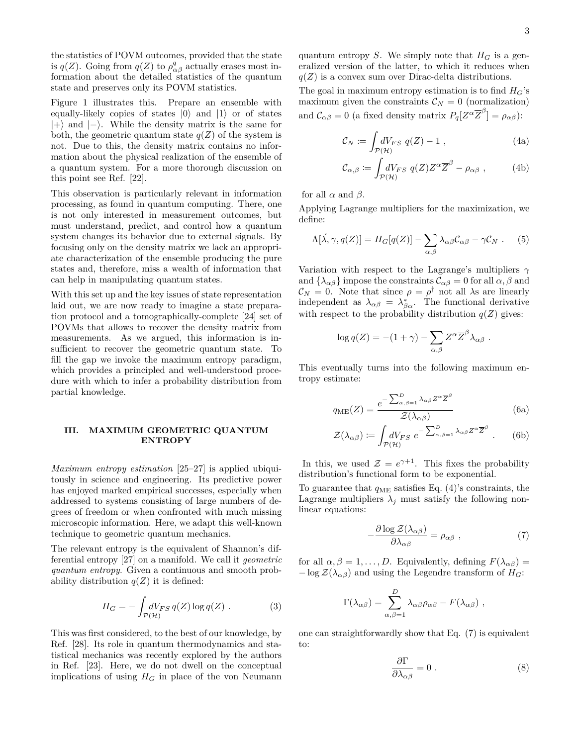the statistics of POVM outcomes, provided that the state is  $q(Z)$ . Going from  $q(Z)$  to  $\rho_{\alpha\beta}^q$  actually erases most information about the detailed statistics of the quantum state and preserves only its POVM statistics.

Figure 1 illustrates this. Prepare an ensemble with equally-likely copies of states  $|0\rangle$  and  $|1\rangle$  or of states  $|+\rangle$  and  $|-\rangle$ . While the density matrix is the same for both, the geometric quantum state  $q(Z)$  of the system is not. Due to this, the density matrix contains no information about the physical realization of the ensemble of a quantum system. For a more thorough discussion on this point see Ref. [22].

This observation is particularly relevant in information processing, as found in quantum computing. There, one is not only interested in measurement outcomes, but must understand, predict, and control how a quantum system changes its behavior due to external signals. By focusing only on the density matrix we lack an appropriate characterization of the ensemble producing the pure states and, therefore, miss a wealth of information that can help in manipulating quantum states.

With this set up and the key issues of state representation laid out, we are now ready to imagine a state preparation protocol and a tomographically-complete [24] set of POVMs that allows to recover the density matrix from measurements. As we argued, this information is insufficient to recover the geometric quantum state. To fill the gap we invoke the maximum entropy paradigm, which provides a principled and well-understood procedure with which to infer a probability distribution from partial knowledge.

# **III. MAXIMUM GEOMETRIC QUANTUM ENTROPY**

*Maximum entropy estimation* [25–27] is applied ubiquitously in science and engineering. Its predictive power has enjoyed marked empirical successes, especially when addressed to systems consisting of large numbers of degrees of freedom or when confronted with much missing microscopic information. Here, we adapt this well-known technique to geometric quantum mechanics.

The relevant entropy is the equivalent of Shannon's differential entropy [27] on a manifold. We call it *geometric quantum entropy*. Given a continuous and smooth probability distribution  $q(Z)$  it is defined:

$$
H_G = -\int_{\mathcal{P}(\mathcal{H})} dV_{FS} \, q(Z) \log q(Z) \,. \tag{3}
$$

This was first considered, to the best of our knowledge, by Ref. [28]. Its role in quantum thermodynamics and statistical mechanics was recently explored by the authors in Ref. [23]. Here, we do not dwell on the conceptual implications of using  $H_G$  in place of the von Neumann

quantum entropy *S*. We simply note that  $H_G$  is a generalized version of the latter, to which it reduces when  $q(Z)$  is a convex sum over Dirac-delta distributions.

The goal in maximum entropy estimation is to find  $H_G$ 's maximum given the constraints  $\mathcal{C}_N = 0$  (normalization) and  $\mathcal{C}_{\alpha\beta} = 0$  (a fixed density matrix  $P_q[Z^{\alpha} \overline{Z}^{\beta}] = \rho_{\alpha\beta}$ ):

$$
\mathcal{C}_N := \int_{\mathcal{P}(\mathcal{H})} dV_{FS} \, q(Z) - 1 \,, \tag{4a}
$$

$$
\mathcal{C}_{\alpha,\beta} := \int_{\mathcal{P}(\mathcal{H})} dV_{FS} \ q(Z) Z^{\alpha} \overline{Z}^{\beta} - \rho_{\alpha\beta} \ , \tag{4b}
$$

for all  $\alpha$  and  $\beta$ .

Applying Lagrange multipliers for the maximization, we define:

$$
\Lambda[\vec{\lambda}, \gamma, q(Z)] = H_G[q(Z)] - \sum_{\alpha, \beta} \lambda_{\alpha\beta} C_{\alpha\beta} - \gamma C_N . \quad (5)
$$

Variation with respect to the Lagrange's multipliers *γ* and  $\{\lambda_{\alpha\beta}\}\$  impose the constraints  $\mathcal{C}_{\alpha\beta} = 0$  for all  $\alpha, \beta$  and  $\mathcal{C}_N = 0$ . Note that since  $\rho = \rho^{\dagger}$  not all  $\lambda$ s are linearly independent as  $\lambda_{\alpha\beta} = \lambda_{\beta\alpha}^*$ . The functional derivative with respect to the probability distribution  $q(Z)$  gives:

$$
\log q(Z) = -(1+\gamma) - \sum_{\alpha,\beta} Z^{\alpha} \overline{Z}^{\beta} \lambda_{\alpha\beta} .
$$

This eventually turns into the following maximum entropy estimate:

$$
q_{\rm ME}(Z) = \frac{e^{-\sum_{\alpha,\beta=1}^{D} \lambda_{\alpha\beta} Z^{\alpha} \overline{Z}^{\beta}}}{\mathcal{Z}(\lambda_{\alpha\beta})}
$$
(6a)

$$
\mathcal{Z}(\lambda_{\alpha\beta}) \coloneqq \int_{\mathcal{P}(\mathcal{H})} dV_{FS} \, e^{-\sum_{\alpha,\beta=1}^D \lambda_{\alpha\beta} Z^{\alpha} \overline{Z}^{\beta}} \ . \tag{6b}
$$

In this, we used  $\mathcal{Z} = e^{\gamma+1}$ . This fixes the probability distribution's functional form to be exponential.

To guarantee that  $q_{\text{ME}}$  satisfies Eq. (4)'s constraints, the Lagrange multipliers  $\lambda_j$  must satisfy the following nonlinear equations:

$$
-\frac{\partial \log \mathcal{Z}(\lambda_{\alpha\beta})}{\partial \lambda_{\alpha\beta}} = \rho_{\alpha\beta} , \qquad (7)
$$

for all  $\alpha, \beta = 1, \ldots, D$ . Equivalently, defining  $F(\lambda_{\alpha\beta}) =$  $-\log \mathcal{Z}(\lambda_{\alpha\beta})$  and using the Legendre transform of  $H_G$ :

$$
\Gamma(\lambda_{\alpha\beta}) = \sum_{\alpha,\beta=1}^{D} \lambda_{\alpha\beta} \rho_{\alpha\beta} - F(\lambda_{\alpha\beta}),
$$

one can straightforwardly show that Eq. (7) is equivalent to:

$$
\frac{\partial \Gamma}{\partial \lambda_{\alpha\beta}} = 0 \tag{8}
$$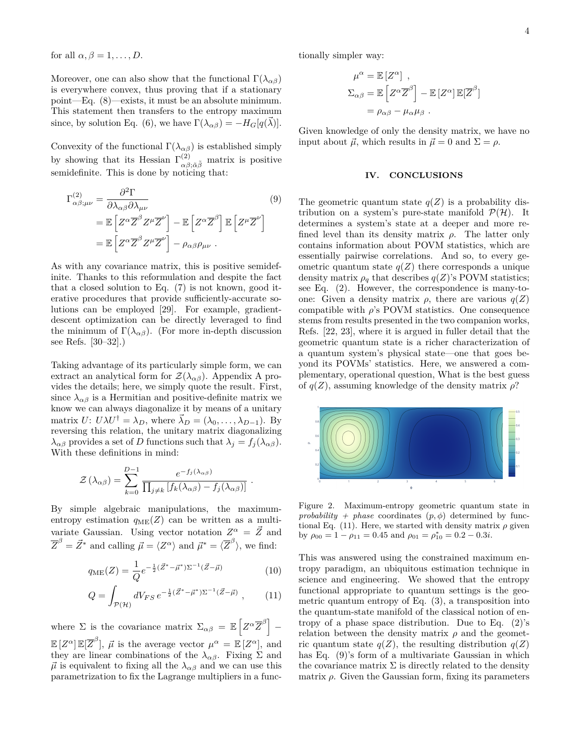for all  $\alpha, \beta = 1, \ldots, D$ .

Moreover, one can also show that the functional  $\Gamma(\lambda_{\alpha\beta})$ is everywhere convex, thus proving that if a stationary point—Eq. (8)—exists, it must be an absolute minimum. This statement then transfers to the entropy maximum since, by solution Eq. (6), we have  $\Gamma(\lambda_{\alpha\beta}) = -H_G[q(\vec{\lambda})].$ 

Convexity of the functional  $\Gamma(\lambda_{\alpha\beta})$  is established simply by showing that its Hessian  $\Gamma^{(2)}_{\alpha\beta;\tilde{\alpha}\tilde{\beta}}$  matrix is positive semidefinite. This is done by noticing that:

$$
\Gamma_{\alpha\beta;\mu\nu}^{(2)} = \frac{\partial^2 \Gamma}{\partial \lambda_{\alpha\beta} \partial \lambda_{\mu\nu}} \tag{9}
$$
\n
$$
= \mathbb{E} \left[ Z^{\alpha} \overline{Z}^{\beta} Z^{\mu} \overline{Z}^{\nu} \right] - \mathbb{E} \left[ Z^{\alpha} \overline{Z}^{\beta} \right] \mathbb{E} \left[ Z^{\mu} \overline{Z}^{\nu} \right]
$$
\n
$$
= \mathbb{E} \left[ Z^{\alpha} \overline{Z}^{\beta} Z^{\mu} \overline{Z}^{\nu} \right] - \rho_{\alpha\beta} \rho_{\mu\nu} .
$$

As with any covariance matrix, this is positive semidefinite. Thanks to this reformulation and despite the fact that a closed solution to Eq. (7) is not known, good iterative procedures that provide sufficiently-accurate solutions can be employed [29]. For example, gradientdescent optimization can be directly leveraged to find the minimum of  $\Gamma(\lambda_{\alpha\beta})$ . (For more in-depth discussion see Refs. [30–32].)

Taking advantage of its particularly simple form, we can extract an analytical form for  $\mathcal{Z}(\lambda_{\alpha\beta})$ . Appendix A provides the details; here, we simply quote the result. First, since  $\lambda_{\alpha\beta}$  is a Hermitian and positive-definite matrix we know we can always diagonalize it by means of a unitary matrix *U*:  $U\lambda U^{\dagger} = \lambda_D$ , where  $\vec{\lambda}_D = (\lambda_0, \dots, \lambda_{D-1})$ . By reversing this relation, the unitary matrix diagonalizing *λ*<sub>αβ</sub> provides a set of *D* functions such that  $\lambda_j = f_j(\lambda_{\alpha\beta})$ . With these definitions in mind:

$$
\mathcal{Z}\left(\lambda_{\alpha\beta}\right) = \sum_{k=0}^{D-1} \frac{e^{-f_j(\lambda_{\alpha\beta})}}{\prod_{j\neq k} \left[f_k(\lambda_{\alpha\beta}) - f_j(\lambda_{\alpha\beta})\right]}.
$$

By simple algebraic manipulations, the maximumentropy estimation  $q_{\text{ME}}(Z)$  can be written as a multivariate Gaussian. Using vector notation  $Z^{\alpha} = \vec{Z}$  and  $\overline{Z}^{\beta} = \vec{Z}^*$  and calling  $\vec{\mu} = \langle Z^{\alpha} \rangle$  and  $\vec{\mu}^* = \langle \overline{Z}^{\beta} \rangle$ , we find:

$$
q_{\rm ME}(Z) = \frac{1}{Q} e^{-\frac{1}{2}(\vec{Z}^* - \vec{\mu}^*)\Sigma^{-1}(\vec{Z} - \vec{\mu})}
$$
(10)

$$
Q = \int_{\mathcal{P}(\mathcal{H})} dV_{FS} \, e^{-\frac{1}{2}(\vec{Z}^* - \vec{\mu}^*)\Sigma^{-1}(\vec{Z} - \vec{\mu})} \,, \tag{11}
$$

where  $\Sigma$  is the covariance matrix  $\Sigma_{\alpha\beta} = \mathbb{E}\left[Z^{\alpha}\overline{Z}^{\beta}\right]$  –  $\mathbb{E}[Z^{\alpha}]\mathbb{E}[\overline{Z}^{\beta}], \ \vec{\mu}$  is the average vector  $\mu^{\alpha} = \mathbb{E}[Z^{\alpha}],$  and they are linear combinations of the  $\lambda_{\alpha\beta}$ . Fixing  $\Sigma$  and  $\vec{\mu}$  is equivalent to fixing all the  $\lambda_{\alpha\beta}$  and we can use this parametrization to fix the Lagrange multipliers in a functionally simpler way:

$$
\mu^{\alpha} = \mathbb{E}[Z^{\alpha}],
$$
  
\n
$$
\Sigma_{\alpha\beta} = \mathbb{E}\left[Z^{\alpha}\overline{Z}^{\beta}\right] - \mathbb{E}[Z^{\alpha}]\mathbb{E}[\overline{Z}^{\beta}]
$$
  
\n
$$
= \rho_{\alpha\beta} - \mu_{\alpha}\mu_{\beta}.
$$

Given knowledge of only the density matrix, we have no input about  $\vec{\mu}$ , which results in  $\vec{\mu} = 0$  and  $\Sigma = \rho$ .

#### **IV. CONCLUSIONS**

The geometric quantum state  $q(Z)$  is a probability distribution on a system's pure-state manifold  $\mathcal{P}(\mathcal{H})$ . It determines a system's state at a deeper and more refined level than its density matrix  $\rho$ . The latter only contains information about POVM statistics, which are essentially pairwise correlations. And so, to every geometric quantum state  $q(Z)$  there corresponds a unique density matrix  $\rho_q$  that describes  $q(Z)$ 's POVM statistics; see Eq. (2). However, the correspondence is many-toone: Given a density matrix  $\rho$ , there are various  $q(Z)$ compatible with  $\rho$ 's POVM statistics. One consequence stems from results presented in the two companion works, Refs. [22, 23], where it is argued in fuller detail that the geometric quantum state is a richer characterization of a quantum system's physical state—one that goes beyond its POVMs' statistics. Here, we answered a complementary, operational question, What is the best guess of  $q(Z)$ , assuming knowledge of the density matrix  $\rho$ ?



Figure 2. Maximum-entropy geometric quantum state in *probability + phase* coordinates  $(p, \phi)$  determined by functional Eq. (11). Here, we started with density matrix  $\rho$  given by  $\rho_{00} = 1 - \rho_{11} = 0.45$  and  $\rho_{01} = \rho_{10}^* = 0.2 - 0.3i$ .

This was answered using the constrained maximum entropy paradigm, an ubiquitous estimation technique in science and engineering. We showed that the entropy functional appropriate to quantum settings is the geometric quantum entropy of Eq. (3), a transposition into the quantum-state manifold of the classical notion of entropy of a phase space distribution. Due to Eq.  $(2)$ 's relation between the density matrix  $\rho$  and the geometric quantum state  $q(Z)$ , the resulting distribution  $q(Z)$ has Eq. (9)'s form of a multivariate Gaussian in which the covariance matrix  $\Sigma$  is directly related to the density matrix *ρ*. Given the Gaussian form, fixing its parameters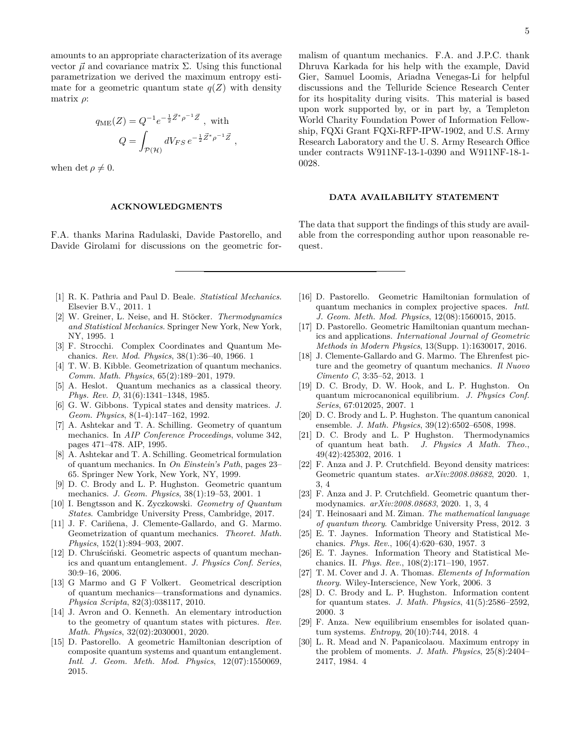amounts to an appropriate characterization of its average vector  $\vec{\mu}$  and covariance matrix  $\Sigma$ . Using this functional parametrization we derived the maximum entropy estimate for a geometric quantum state  $q(Z)$  with density matrix *ρ*:

$$
q_{\text{ME}}(Z) = Q^{-1}e^{-\frac{1}{2}\vec{Z}^*\rho^{-1}\vec{Z}}, \text{ with}
$$

$$
Q = \int_{\mathcal{P}(\mathcal{H})} dV_{FS} e^{-\frac{1}{2}\vec{Z}^*\rho^{-1}\vec{Z}}
$$

*,*

when det  $\rho \neq 0$ .

#### **ACKNOWLEDGMENTS**

F.A. thanks Marina Radulaski, Davide Pastorello, and Davide Girolami for discussions on the geometric for5

malism of quantum mechanics. F.A. and J.P.C. thank Dhruva Karkada for his help with the example, David Gier, Samuel Loomis, Ariadna Venegas-Li for helpful discussions and the Telluride Science Research Center for its hospitality during visits. This material is based upon work supported by, or in part by, a Templeton World Charity Foundation Power of Information Fellowship, FQXi Grant FQXi-RFP-IPW-1902, and U.S. Army Research Laboratory and the U. S. Army Research Office under contracts W911NF-13-1-0390 and W911NF-18-1- 0028.

#### **DATA AVAILABILITY STATEMENT**

The data that support the findings of this study are available from the corresponding author upon reasonable request.

- [1] R. K. Pathria and Paul D. Beale. *Statistical Mechanics*. Elsevier B.V., 2011. 1
- [2] W. Greiner, L. Neise, and H. Stöcker. *Thermodynamics and Statistical Mechanics*. Springer New York, New York, NY, 1995. 1
- [3] F. Strocchi. Complex Coordinates and Quantum Mechanics. *Rev. Mod. Physics*, 38(1):36–40, 1966. 1
- [4] T. W. B. Kibble. Geometrization of quantum mechanics. *Comm. Math. Physics*, 65(2):189–201, 1979.
- [5] A. Heslot. Quantum mechanics as a classical theory. *Phys. Rev. D*, 31(6):1341–1348, 1985.
- [6] G. W. Gibbons. Typical states and density matrices. *J. Geom. Physics*, 8(1-4):147–162, 1992.
- [7] A. Ashtekar and T. A. Schilling. Geometry of quantum mechanics. In *AIP Conference Proceedings*, volume 342, pages 471–478. AIP, 1995.
- [8] A. Ashtekar and T. A. Schilling. Geometrical formulation of quantum mechanics. In *On Einstein's Path*, pages 23– 65. Springer New York, New York, NY, 1999.
- [9] D. C. Brody and L. P. Hughston. Geometric quantum mechanics. *J. Geom. Physics*, 38(1):19–53, 2001. 1
- [10] I. Bengtsson and K. Zyczkowski. *Geometry of Quantum States*. Cambridge University Press, Cambridge, 2017.
- [11] J. F. Cariñena, J. Clemente-Gallardo, and G. Marmo. Geometrization of quantum mechanics. *Theoret. Math. Physics*, 152(1):894–903, 2007.
- [12] D. Chruściński. Geometric aspects of quantum mechanics and quantum entanglement. *J. Physics Conf. Series*, 30:9–16, 2006.
- [13] G Marmo and G F Volkert. Geometrical description of quantum mechanics—transformations and dynamics. *Physica Scripta*, 82(3):038117, 2010.
- [14] J. Avron and O. Kenneth. An elementary introduction to the geometry of quantum states with pictures. *Rev. Math. Physics*, 32(02):2030001, 2020.
- [15] D. Pastorello. A geometric Hamiltonian description of composite quantum systems and quantum entanglement. *Intl. J. Geom. Meth. Mod. Physics*, 12(07):1550069, 2015.
- [16] D. Pastorello. Geometric Hamiltonian formulation of quantum mechanics in complex projective spaces. *Intl. J. Geom. Meth. Mod. Physics*, 12(08):1560015, 2015.
- [17] D. Pastorello. Geometric Hamiltonian quantum mechanics and applications. *International Journal of Geometric Methods in Modern Physics*, 13(Supp. 1):1630017, 2016.
- [18] J. Clemente-Gallardo and G. Marmo. The Ehrenfest picture and the geometry of quantum mechanics. *Il Nuovo Cimento C*, 3:35–52, 2013. 1
- [19] D. C. Brody, D. W. Hook, and L. P. Hughston. On quantum microcanonical equilibrium. *J. Physics Conf. Series*, 67:012025, 2007. 1
- [20] D. C. Brody and L. P. Hughston. The quantum canonical ensemble. *J. Math. Physics*, 39(12):6502–6508, 1998.
- [21] D. C. Brody and L. P Hughston. Thermodynamics of quantum heat bath. *J. Physics A Math. Theo.*, 49(42):425302, 2016. 1
- [22] F. Anza and J. P. Crutchfield. Beyond density matrices: Geometric quantum states. *arXiv:2008.08682*, 2020. 1, 3, 4
- [23] F. Anza and J. P. Crutchfield. Geometric quantum thermodynamics. *arXiv:2008.08683*, 2020. 1, 3, 4
- [24] T. Heinosaari and M. Ziman. *The mathematical language of quantum theory*. Cambridge University Press, 2012. 3
- [25] E. T. Jaynes. Information Theory and Statistical Mechanics. *Phys. Rev.*, 106(4):620–630, 1957. 3
- [26] E. T. Jaynes. Information Theory and Statistical Mechanics. II. *Phys. Rev.*, 108(2):171–190, 1957.
- [27] T. M. Cover and J. A. Thomas. *Elements of Information theory*. Wiley-Interscience, New York, 2006. 3
- [28] D. C. Brody and L. P. Hughston. Information content for quantum states. *J. Math. Physics*, 41(5):2586–2592, 2000. 3
- [29] F. Anza. New equilibrium ensembles for isolated quantum systems. *Entropy*, 20(10):744, 2018. 4
- [30] L. R. Mead and N. Papanicolaou. Maximum entropy in the problem of moments. *J. Math. Physics*, 25(8):2404– 2417, 1984. 4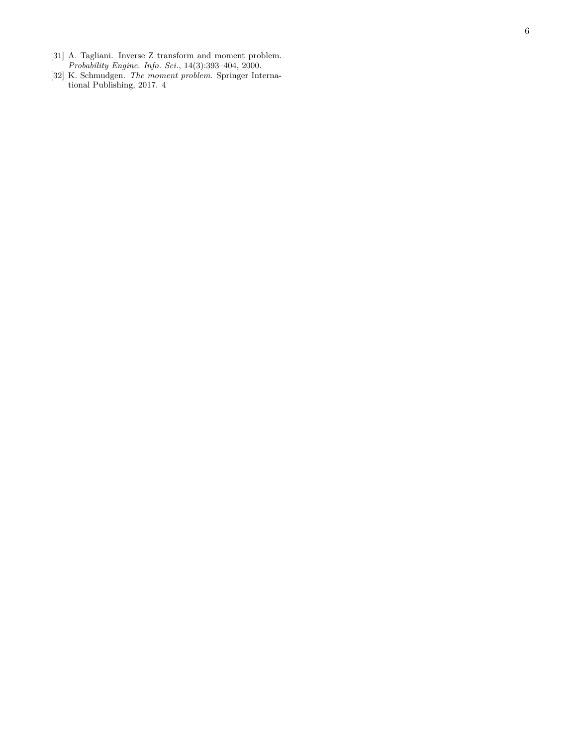- [31] A. Tagliani. Inverse Z transform and moment problem. *Probability Engine. Info. Sci.*, 14(3):393–404, 2000.
- [32] K. Schmudgen. *The moment problem*. Springer International Publishing, 2017. 4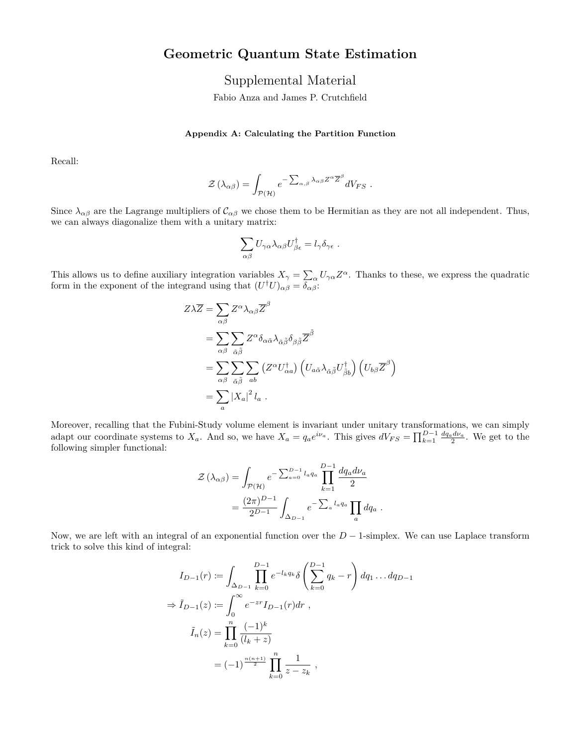# **Geometric Quantum State Estimation**

Supplemental Material

Fabio Anza and James P. Crutchfield

### **Appendix A: Calculating the Partition Function**

Recall:

$$
\mathcal{Z}\left(\lambda_{\alpha\beta}\right) = \int_{\mathcal{P}(\mathcal{H})} e^{-\sum_{\alpha,\beta} \lambda_{\alpha\beta} Z^{\alpha} \overline{Z}^{\beta}} dV_{FS} .
$$

Since  $\lambda_{\alpha\beta}$  are the Lagrange multipliers of  $\mathcal{C}_{\alpha\beta}$  we chose them to be Hermitian as they are not all independent. Thus, we can always diagonalize them with a unitary matrix:

$$
\sum_{\alpha\beta}U_{\gamma\alpha}\lambda_{\alpha\beta}U_{\beta\epsilon}^{\dagger}=l_{\gamma}\delta_{\gamma\epsilon}.
$$

This allows us to define auxiliary integration variables  $X_{\gamma} = \sum_{\alpha} U_{\gamma \alpha} Z^{\alpha}$ . Thanks to these, we express the quadratic form in the exponent of the integrand using that  $(U^{\dagger}U)_{\alpha\beta} = \overline{\delta_{\alpha\beta}}$ :

$$
Z\lambda \overline{Z} = \sum_{\alpha\beta} Z^{\alpha} \lambda_{\alpha\beta} \overline{Z}^{\beta}
$$
  
= 
$$
\sum_{\alpha\beta} \sum_{\tilde{\alpha}\tilde{\beta}} Z^{\alpha} \delta_{\alpha\tilde{\alpha}} \lambda_{\tilde{\alpha}\tilde{\beta}} \delta_{\beta\tilde{\beta}} \overline{Z}^{\tilde{\beta}}
$$
  
= 
$$
\sum_{\alpha\beta} \sum_{\tilde{\alpha}\tilde{\beta}} \sum_{ab} (Z^{\alpha} U_{\alpha a}^{\dagger}) (U_{a\tilde{\alpha}} \lambda_{\tilde{\alpha}\tilde{\beta}} U_{\tilde{\beta}b}^{\dagger}) (U_{b\beta} \overline{Z}^{\beta})
$$
  
= 
$$
\sum_{a} |X_{a}|^{2} l_{a} .
$$

Moreover, recalling that the Fubini-Study volume element is invariant under unitary transformations, we can simply adapt our coordinate systems to  $X_a$ . And so, we have  $X_a = q_a e^{i\nu_a}$ . This gives  $dV_{FS} = \prod_{k=1}^{D-1} \frac{dq_a d\nu_a}{2}$ . We get to the following simpler functional:

$$
\mathcal{Z}(\lambda_{\alpha\beta}) = \int_{\mathcal{P}(\mathcal{H})} e^{-\sum_{a=0}^{D-1} l_a q_a} \prod_{k=1}^{D-1} \frac{dq_a d\nu_a}{2}
$$

$$
= \frac{(2\pi)^{D-1}}{2^{D-1}} \int_{\Delta_{D-1}} e^{-\sum_a l_a q_a} \prod_a dq_a.
$$

Now, we are left with an integral of an exponential function over the *D* − 1-simplex. We can use Laplace transform trick to solve this kind of integral:

$$
I_{D-1}(r) := \int_{\Delta_{D-1}} \prod_{k=0}^{D-1} e^{-l_k q_k} \delta\left(\sum_{k=0}^{D-1} q_k - r\right) dq_1 \dots dq_{D-1}
$$
  
\n
$$
\Rightarrow \tilde{I}_{D-1}(z) := \int_0^\infty e^{-zr} I_{D-1}(r) dr ,
$$
  
\n
$$
\tilde{I}_n(z) = \prod_{k=0}^n \frac{(-1)^k}{(l_k + z)}
$$
  
\n
$$
= (-1)^{\frac{n(n+1)}{2}} \prod_{k=0}^n \frac{1}{z - z_k} ,
$$